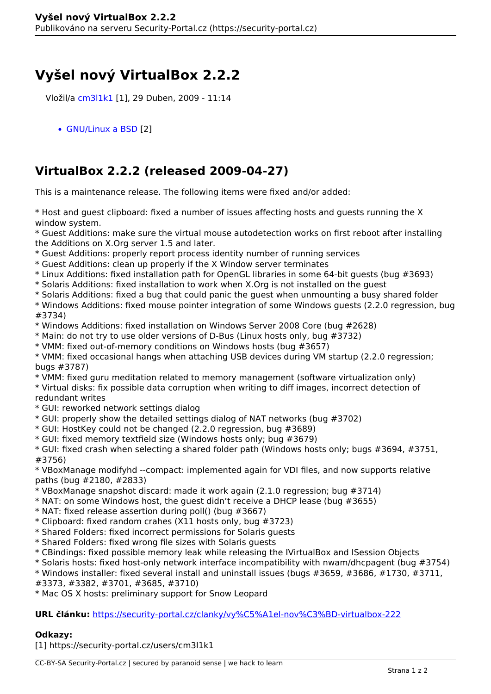## **Vyšel nový VirtualBox 2.2.2**

Vložil/a [cm3l1k1](https://security-portal.cz/users/cm3l1k1) [1], 29 Duben, 2009 - 11:14

[GNU/Linux a BSD](https://security-portal.cz/category/tagy/gnu/linux-bsd) [2]

## **VirtualBox 2.2.2 (released 2009-04-27)**

This is a maintenance release. The following items were fixed and/or added:

\* Host and guest clipboard: fixed a number of issues affecting hosts and guests running the X window system.

\* Guest Additions: make sure the virtual mouse autodetection works on first reboot after installing the Additions on X.Org server 1.5 and later.

\* Guest Additions: properly report process identity number of running services

\* Guest Additions: clean up properly if the X Window server terminates

- \* Linux Additions: fixed installation path for OpenGL libraries in some 64-bit guests (bug #3693)
- \* Solaris Additions: fixed installation to work when X.Org is not installed on the guest
- \* Solaris Additions: fixed a bug that could panic the guest when unmounting a busy shared folder

\* Windows Additions: fixed mouse pointer integration of some Windows guests (2.2.0 regression, bug #3734)

\* Windows Additions: fixed installation on Windows Server 2008 Core (bug #2628)

\* Main: do not try to use older versions of D-Bus (Linux hosts only, bug #3732)

\* VMM: fixed out-of-memory conditions on Windows hosts (bug #3657)

\* VMM: fixed occasional hangs when attaching USB devices during VM startup (2.2.0 regression; bugs #3787)

\* VMM: fixed guru meditation related to memory management (software virtualization only)

\* Virtual disks: fix possible data corruption when writing to diff images, incorrect detection of redundant writes

- \* GUI: reworked network settings dialog
- \* GUI: properly show the detailed settings dialog of NAT networks (bug #3702)
- \* GUI: HostKey could not be changed (2.2.0 regression, bug #3689)
- \* GUI: fixed memory textfield size (Windows hosts only; bug #3679)

\* GUI: fixed crash when selecting a shared folder path (Windows hosts only; bugs #3694, #3751, #3756)

\* VBoxManage modifyhd --compact: implemented again for VDI files, and now supports relative paths (bug #2180, #2833)

- \* VBoxManage snapshot discard: made it work again (2.1.0 regression; bug #3714)
- \* NAT: on some Windows host, the guest didn't receive a DHCP lease (bug #3655)
- \* NAT: fixed release assertion during poll() (bug #3667)
- \* Clipboard: fixed random crahes (X11 hosts only, bug #3723)
- \* Shared Folders: fixed incorrect permissions for Solaris guests
- \* Shared Folders: fixed wrong file sizes with Solaris guests
- \* CBindings: fixed possible memory leak while releasing the IVirtualBox and ISession Objects
- \* Solaris hosts: fixed host-only network interface incompatibility with nwam/dhcpagent (bug #3754)

\* Windows installer: fixed several install and uninstall issues (bugs #3659, #3686, #1730, #3711,

#3373, #3382, #3701, #3685, #3710)

\* Mac OS X hosts: preliminary support for Snow Leopard

## **URL článku:** <https://security-portal.cz/clanky/vy%C5%A1el-nov%C3%BD-virtualbox-222>

## **Odkazy:**

[1] https://security-portal.cz/users/cm3l1k1